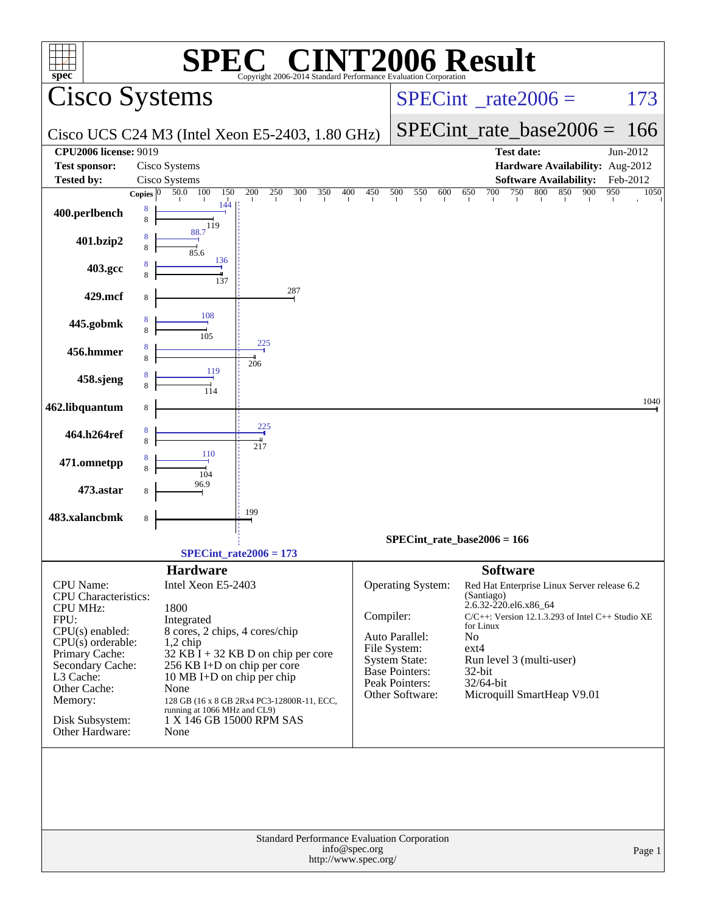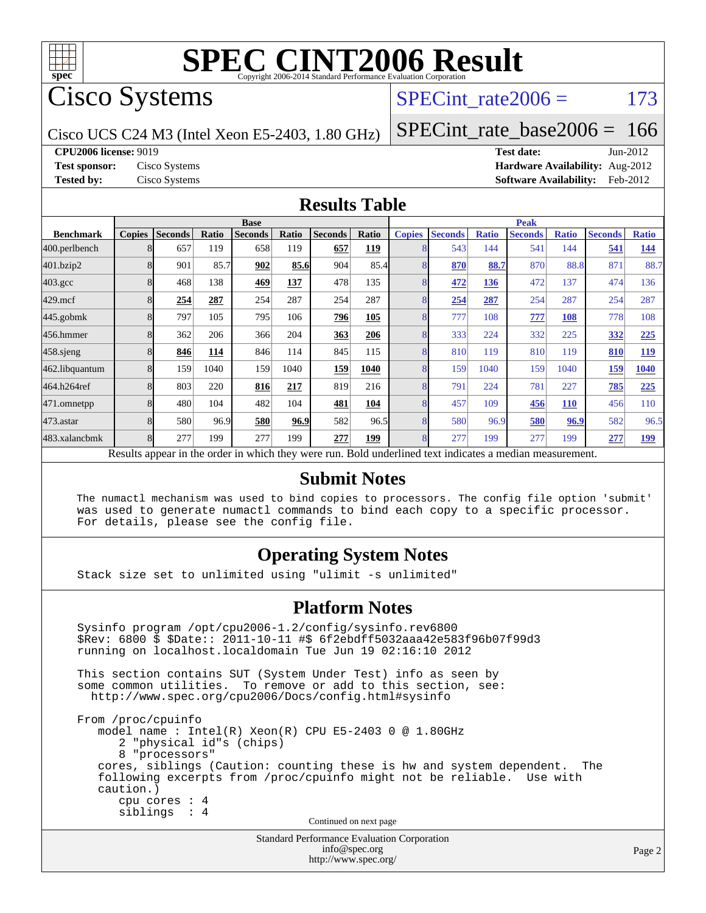

Cisco Systems

### SPECint rate $2006 = 173$

Cisco UCS C24 M3 (Intel Xeon E5-2403, 1.80 GHz)

[SPECint\\_rate\\_base2006 =](http://www.spec.org/auto/cpu2006/Docs/result-fields.html#SPECintratebase2006) 166

**[CPU2006 license:](http://www.spec.org/auto/cpu2006/Docs/result-fields.html#CPU2006license)** 9019 **[Test date:](http://www.spec.org/auto/cpu2006/Docs/result-fields.html#Testdate)** Jun-2012

**[Test sponsor:](http://www.spec.org/auto/cpu2006/Docs/result-fields.html#Testsponsor)** Cisco Systems **[Hardware Availability:](http://www.spec.org/auto/cpu2006/Docs/result-fields.html#HardwareAvailability)** Aug-2012 **[Tested by:](http://www.spec.org/auto/cpu2006/Docs/result-fields.html#Testedby)** Cisco Systems **[Software Availability:](http://www.spec.org/auto/cpu2006/Docs/result-fields.html#SoftwareAvailability)** Feb-2012

#### **[Results Table](http://www.spec.org/auto/cpu2006/Docs/result-fields.html#ResultsTable)**

|                    | <b>Base</b>   |                |       |                |       |                                                                                                          |       |                | <b>Peak</b>    |              |                |              |                |              |  |
|--------------------|---------------|----------------|-------|----------------|-------|----------------------------------------------------------------------------------------------------------|-------|----------------|----------------|--------------|----------------|--------------|----------------|--------------|--|
| <b>Benchmark</b>   | <b>Copies</b> | <b>Seconds</b> | Ratio | <b>Seconds</b> | Ratio | <b>Seconds</b>                                                                                           | Ratio | <b>Copies</b>  | <b>Seconds</b> | <b>Ratio</b> | <b>Seconds</b> | <b>Ratio</b> | <b>Seconds</b> | <b>Ratio</b> |  |
| 400.perlbench      | 8             | 657            | 119   | 658            | 119   | 657                                                                                                      | 119   |                | 543            | 144          | 541            | 144          | 541            | 144          |  |
| 401.bzip2          | 8             | 901            | 85.7  | 902            | 85.6  | 904                                                                                                      | 85.4  | 8              | 870            | 88.7         | 870            | 88.8         | 871            | 88.7         |  |
| $403.\mathrm{gcc}$ | 8             | 468            | 138   | 469            | 137   | 478                                                                                                      | 135   | 8              | 472            | 136          | 472            | 137          | 474            | 136          |  |
| $429$ .mcf         | 8             | 254            | 287   | 254            | 287   | 254                                                                                                      | 287   | 8              | 254            | 287          | 254            | 287          | 254            | 287          |  |
| $445$ .gobm $k$    | 8             | 797            | 105   | 795            | 106   | 296                                                                                                      | 105   | 8              | 777            | 108          | 777            | 108          | 778            | 108          |  |
| 456.hmmer          | 8             | 362            | 206   | 366            | 204   | 363                                                                                                      | 206   |                | 3331           | 224          | 332            | 225          | 332            | 225          |  |
| $458$ .sjeng       | 8             | 846            | 114   | 846            | 114   | 845                                                                                                      | 115   | 8              | 810            | 119          | 810            | 119          | 810            | 119          |  |
| 462.libquantum     | 8             | 159            | 1040  | 159            | 1040  | 159                                                                                                      | 1040  | $\overline{8}$ | 159            | 1040         | 159            | 1040         | 159            | 1040         |  |
| 464.h264ref        | 8             | 803            | 220   | 816            | 217   | 819                                                                                                      | 216   | 8              | 791            | 224          | 781            | 227          | 785            | 225          |  |
| 471.omnetpp        | 8             | 480            | 104   | 482            | 104   | 481                                                                                                      | 104   | 8              | 457            | 109          | 456            | 110          | 456            | 110          |  |
| $473$ . astar      | 8             | 580            | 96.9  | 580            | 96.9  | 582                                                                                                      | 96.5  | 8              | 580            | 96.9         | 580            | 96.9         | 582            | 96.5         |  |
| 483.xalancbmk      | 8             | 277            | 199   | 277            | 199   | 277                                                                                                      | 199   | 8              | 277            | 199          | 277            | 199          | 277            | <u>199</u>   |  |
|                    |               |                |       |                |       | Results appear in the order in which they were run. Bold underlined text indicates a median measurement. |       |                |                |              |                |              |                |              |  |

#### **[Submit Notes](http://www.spec.org/auto/cpu2006/Docs/result-fields.html#SubmitNotes)**

 The numactl mechanism was used to bind copies to processors. The config file option 'submit' was used to generate numactl commands to bind each copy to a specific processor. For details, please see the config file.

#### **[Operating System Notes](http://www.spec.org/auto/cpu2006/Docs/result-fields.html#OperatingSystemNotes)**

Stack size set to unlimited using "ulimit -s unlimited"

#### **[Platform Notes](http://www.spec.org/auto/cpu2006/Docs/result-fields.html#PlatformNotes)**

Standard Performance Evaluation Corporation Sysinfo program /opt/cpu2006-1.2/config/sysinfo.rev6800 \$Rev: 6800 \$ \$Date:: 2011-10-11 #\$ 6f2ebdff5032aaa42e583f96b07f99d3 running on localhost.localdomain Tue Jun 19 02:16:10 2012 This section contains SUT (System Under Test) info as seen by some common utilities. To remove or add to this section, see: <http://www.spec.org/cpu2006/Docs/config.html#sysinfo> From /proc/cpuinfo model name : Intel(R) Xeon(R) CPU E5-2403 0 @ 1.80GHz 2 "physical id"s (chips) 8 "processors" cores, siblings (Caution: counting these is hw and system dependent. The following excerpts from /proc/cpuinfo might not be reliable. Use with caution.) cpu cores : 4 siblings : 4 Continued on next page

[info@spec.org](mailto:info@spec.org) <http://www.spec.org/>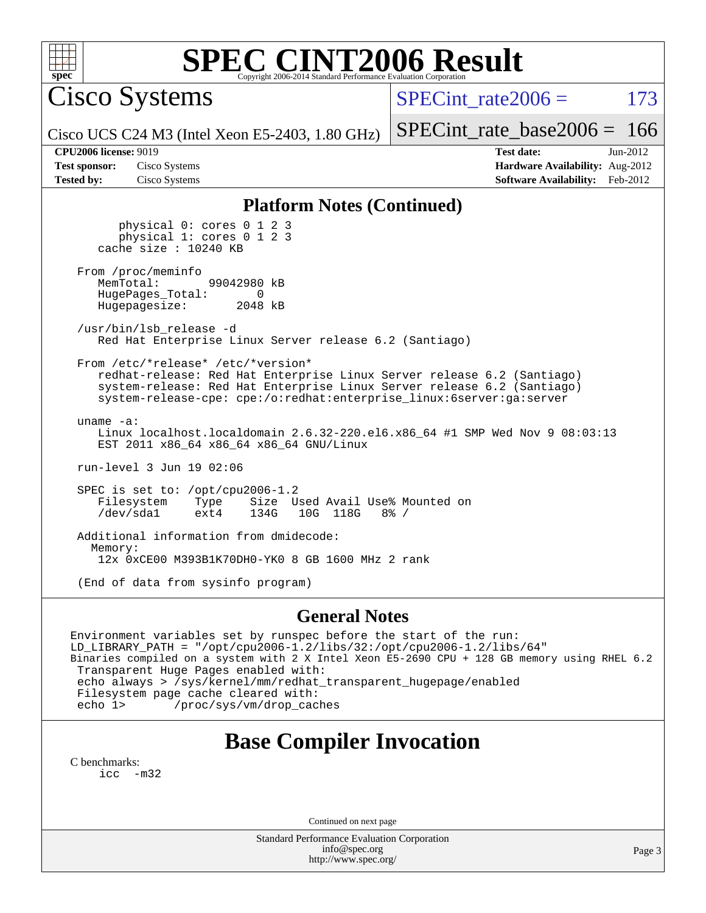

Cisco Systems

SPECint rate $2006 = 173$ 

Cisco UCS C24 M3 (Intel Xeon E5-2403, 1.80 GHz)

[SPECint\\_rate\\_base2006 =](http://www.spec.org/auto/cpu2006/Docs/result-fields.html#SPECintratebase2006) 166 **[CPU2006 license:](http://www.spec.org/auto/cpu2006/Docs/result-fields.html#CPU2006license)** 9019 **[Test date:](http://www.spec.org/auto/cpu2006/Docs/result-fields.html#Testdate)** Jun-2012

**[Test sponsor:](http://www.spec.org/auto/cpu2006/Docs/result-fields.html#Testsponsor)** Cisco Systems **[Hardware Availability:](http://www.spec.org/auto/cpu2006/Docs/result-fields.html#HardwareAvailability)** Aug-2012 **[Tested by:](http://www.spec.org/auto/cpu2006/Docs/result-fields.html#Testedby)** Cisco Systems **[Software Availability:](http://www.spec.org/auto/cpu2006/Docs/result-fields.html#SoftwareAvailability)** Feb-2012

#### **[Platform Notes \(Continued\)](http://www.spec.org/auto/cpu2006/Docs/result-fields.html#PlatformNotes)**

 physical 0: cores 0 1 2 3 physical 1: cores 0 1 2 3 cache size : 10240 KB

From /proc/meminfo<br>MemTotal: 99042980 kB HugePages\_Total: 0<br>Hugepagesize: 2048 kB Hugepagesize:

 /usr/bin/lsb\_release -d Red Hat Enterprise Linux Server release 6.2 (Santiago)

From /etc/\*release\* /etc/\*version\*

 redhat-release: Red Hat Enterprise Linux Server release 6.2 (Santiago) system-release: Red Hat Enterprise Linux Server release 6.2 (Santiago) system-release-cpe: cpe:/o:redhat:enterprise\_linux:6server:ga:server

 uname -a: Linux localhost.localdomain 2.6.32-220.el6.x86\_64 #1 SMP Wed Nov 9 08:03:13 EST 2011 x86\_64 x86\_64 x86\_64 GNU/Linux

run-level 3 Jun 19 02:06

 SPEC is set to: /opt/cpu2006-1.2 Filesystem Type Size Used Avail Use% Mounted on<br>
/dev/sdal ext4 134G 10G 118G 8% / 10G 118G

 Additional information from dmidecode: Memory: 12x 0xCE00 M393B1K70DH0-YK0 8 GB 1600 MHz 2 rank

(End of data from sysinfo program)

#### **[General Notes](http://www.spec.org/auto/cpu2006/Docs/result-fields.html#GeneralNotes)**

Environment variables set by runspec before the start of the run: LD\_LIBRARY\_PATH = "/opt/cpu2006-1.2/libs/32:/opt/cpu2006-1.2/libs/64" Binaries compiled on a system with 2 X Intel Xeon E5-2690 CPU + 128 GB memory using RHEL 6.2 Transparent Huge Pages enabled with: echo always > /sys/kernel/mm/redhat\_transparent\_hugepage/enabled Filesystem page cache cleared with: echo 1> /proc/sys/vm/drop\_caches

### **[Base Compiler Invocation](http://www.spec.org/auto/cpu2006/Docs/result-fields.html#BaseCompilerInvocation)**

[C benchmarks](http://www.spec.org/auto/cpu2006/Docs/result-fields.html#Cbenchmarks): [icc -m32](http://www.spec.org/cpu2006/results/res2012q3/cpu2006-20120702-23332.flags.html#user_CCbase_intel_icc_5ff4a39e364c98233615fdd38438c6f2)

Continued on next page

Standard Performance Evaluation Corporation [info@spec.org](mailto:info@spec.org) <http://www.spec.org/>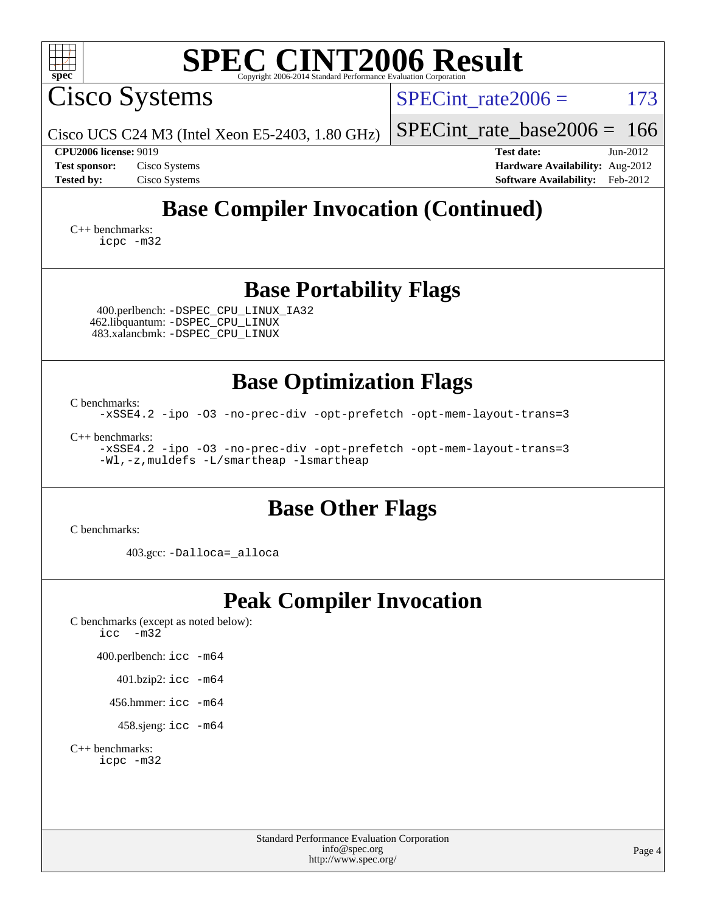| <b>SPEC CINT2006 Result</b><br>spec <sup>®</sup>                                                                                         |                                                                    |  |  |  |  |  |  |  |
|------------------------------------------------------------------------------------------------------------------------------------------|--------------------------------------------------------------------|--|--|--|--|--|--|--|
| Cisco Systems                                                                                                                            | $SPECint rate 2006 =$<br>173                                       |  |  |  |  |  |  |  |
| Cisco UCS C24 M3 (Intel Xeon E5-2403, 1.80 GHz)                                                                                          | $SPECint_rate_base2006 = 166$                                      |  |  |  |  |  |  |  |
| <b>CPU2006 license: 9019</b><br><b>Test sponsor:</b><br>Cisco Systems                                                                    | <b>Test date:</b><br>$Jun-2012$<br>Hardware Availability: Aug-2012 |  |  |  |  |  |  |  |
| <b>Tested by:</b><br>Cisco Systems                                                                                                       | <b>Software Availability:</b> Feb-2012                             |  |  |  |  |  |  |  |
| <b>Base Compiler Invocation (Continued)</b>                                                                                              |                                                                    |  |  |  |  |  |  |  |
| $C_{++}$ benchmarks:<br>icpc -m32                                                                                                        |                                                                    |  |  |  |  |  |  |  |
| <b>Base Portability Flags</b>                                                                                                            |                                                                    |  |  |  |  |  |  |  |
| 400.perlbench: -DSPEC_CPU_LINUX_IA32<br>462.libquantum: -DSPEC_CPU_LINUX<br>483.xalancbmk: - DSPEC_CPU_LINUX                             |                                                                    |  |  |  |  |  |  |  |
| <b>Base Optimization Flags</b>                                                                                                           |                                                                    |  |  |  |  |  |  |  |
| C benchmarks:<br>-xSSE4.2 -ipo -03 -no-prec-div -opt-prefetch -opt-mem-layout-trans=3                                                    |                                                                    |  |  |  |  |  |  |  |
| $C_{++}$ benchmarks:<br>-xSSE4.2 -ipo -03 -no-prec-div -opt-prefetch -opt-mem-layout-trans=3<br>-Wl,-z, muldefs -L/smartheap -lsmartheap |                                                                    |  |  |  |  |  |  |  |
| <b>Base Other Flags</b><br>C benchmarks:                                                                                                 |                                                                    |  |  |  |  |  |  |  |
| 403.gcc: -Dalloca=_alloca                                                                                                                |                                                                    |  |  |  |  |  |  |  |
| <b>Peak Compiler Invocation</b><br>C benchmarks (except as noted below):<br>$\text{icc}$ -m32                                            |                                                                    |  |  |  |  |  |  |  |
| 400.perlbench: icc -m64                                                                                                                  |                                                                    |  |  |  |  |  |  |  |
| 401.bzip2: icc -m64                                                                                                                      |                                                                    |  |  |  |  |  |  |  |
| 456.hmmer: $\text{icc}$ -m64                                                                                                             |                                                                    |  |  |  |  |  |  |  |
| 458.sjeng: icc -m64                                                                                                                      |                                                                    |  |  |  |  |  |  |  |
| $C_{++}$ benchmarks:<br>icpc -m32                                                                                                        |                                                                    |  |  |  |  |  |  |  |
| <b>Standard Performance Evaluation Corporation</b><br>info@spec.org<br>http://www.spec.org/                                              | Page 4                                                             |  |  |  |  |  |  |  |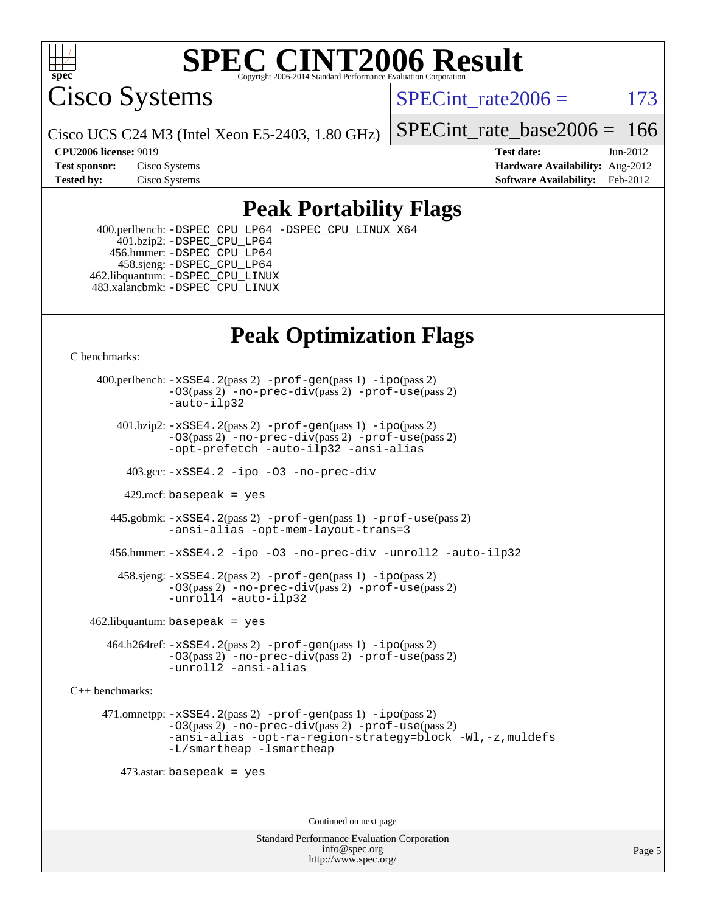

Cisco Systems

SPECint rate $2006 = 173$ 

Cisco UCS C24 M3 (Intel Xeon E5-2403, 1.80 GHz)

[SPECint\\_rate\\_base2006 =](http://www.spec.org/auto/cpu2006/Docs/result-fields.html#SPECintratebase2006) 166

**[CPU2006 license:](http://www.spec.org/auto/cpu2006/Docs/result-fields.html#CPU2006license)** 9019 **[Test date:](http://www.spec.org/auto/cpu2006/Docs/result-fields.html#Testdate)** Jun-2012 **[Test sponsor:](http://www.spec.org/auto/cpu2006/Docs/result-fields.html#Testsponsor)** Cisco Systems **[Hardware Availability:](http://www.spec.org/auto/cpu2006/Docs/result-fields.html#HardwareAvailability)** Aug-2012 **[Tested by:](http://www.spec.org/auto/cpu2006/Docs/result-fields.html#Testedby)** Cisco Systems **[Software Availability:](http://www.spec.org/auto/cpu2006/Docs/result-fields.html#SoftwareAvailability)** Feb-2012

### **[Peak Portability Flags](http://www.spec.org/auto/cpu2006/Docs/result-fields.html#PeakPortabilityFlags)**

 400.perlbench: [-DSPEC\\_CPU\\_LP64](http://www.spec.org/cpu2006/results/res2012q3/cpu2006-20120702-23332.flags.html#b400.perlbench_peakCPORTABILITY_DSPEC_CPU_LP64) [-DSPEC\\_CPU\\_LINUX\\_X64](http://www.spec.org/cpu2006/results/res2012q3/cpu2006-20120702-23332.flags.html#b400.perlbench_peakCPORTABILITY_DSPEC_CPU_LINUX_X64) 401.bzip2: [-DSPEC\\_CPU\\_LP64](http://www.spec.org/cpu2006/results/res2012q3/cpu2006-20120702-23332.flags.html#suite_peakCPORTABILITY401_bzip2_DSPEC_CPU_LP64) 456.hmmer: [-DSPEC\\_CPU\\_LP64](http://www.spec.org/cpu2006/results/res2012q3/cpu2006-20120702-23332.flags.html#suite_peakCPORTABILITY456_hmmer_DSPEC_CPU_LP64) 458.sjeng: [-DSPEC\\_CPU\\_LP64](http://www.spec.org/cpu2006/results/res2012q3/cpu2006-20120702-23332.flags.html#suite_peakCPORTABILITY458_sjeng_DSPEC_CPU_LP64) 462.libquantum: [-DSPEC\\_CPU\\_LINUX](http://www.spec.org/cpu2006/results/res2012q3/cpu2006-20120702-23332.flags.html#b462.libquantum_peakCPORTABILITY_DSPEC_CPU_LINUX) 483.xalancbmk: [-DSPEC\\_CPU\\_LINUX](http://www.spec.org/cpu2006/results/res2012q3/cpu2006-20120702-23332.flags.html#b483.xalancbmk_peakCXXPORTABILITY_DSPEC_CPU_LINUX)

## **[Peak Optimization Flags](http://www.spec.org/auto/cpu2006/Docs/result-fields.html#PeakOptimizationFlags)**

[C benchmarks](http://www.spec.org/auto/cpu2006/Docs/result-fields.html#Cbenchmarks):

 400.perlbench: [-xSSE4.2](http://www.spec.org/cpu2006/results/res2012q3/cpu2006-20120702-23332.flags.html#user_peakPASS2_CFLAGSPASS2_LDCFLAGS400_perlbench_f-xSSE42_f91528193cf0b216347adb8b939d4107)(pass 2) [-prof-gen](http://www.spec.org/cpu2006/results/res2012q3/cpu2006-20120702-23332.flags.html#user_peakPASS1_CFLAGSPASS1_LDCFLAGS400_perlbench_prof_gen_e43856698f6ca7b7e442dfd80e94a8fc)(pass 1) [-ipo](http://www.spec.org/cpu2006/results/res2012q3/cpu2006-20120702-23332.flags.html#user_peakPASS2_CFLAGSPASS2_LDCFLAGS400_perlbench_f-ipo)(pass 2) [-O3](http://www.spec.org/cpu2006/results/res2012q3/cpu2006-20120702-23332.flags.html#user_peakPASS2_CFLAGSPASS2_LDCFLAGS400_perlbench_f-O3)(pass 2) [-no-prec-div](http://www.spec.org/cpu2006/results/res2012q3/cpu2006-20120702-23332.flags.html#user_peakPASS2_CFLAGSPASS2_LDCFLAGS400_perlbench_f-no-prec-div)(pass 2) [-prof-use](http://www.spec.org/cpu2006/results/res2012q3/cpu2006-20120702-23332.flags.html#user_peakPASS2_CFLAGSPASS2_LDCFLAGS400_perlbench_prof_use_bccf7792157ff70d64e32fe3e1250b55)(pass 2) [-auto-ilp32](http://www.spec.org/cpu2006/results/res2012q3/cpu2006-20120702-23332.flags.html#user_peakCOPTIMIZE400_perlbench_f-auto-ilp32)  $401.bzip2: -xSSE4.2(pass 2) -prof-qen(pass 1) -ipo(pass 2)$  $401.bzip2: -xSSE4.2(pass 2) -prof-qen(pass 1) -ipo(pass 2)$  $401.bzip2: -xSSE4.2(pass 2) -prof-qen(pass 1) -ipo(pass 2)$  $401.bzip2: -xSSE4.2(pass 2) -prof-qen(pass 1) -ipo(pass 2)$  $401.bzip2: -xSSE4.2(pass 2) -prof-qen(pass 1) -ipo(pass 2)$ [-O3](http://www.spec.org/cpu2006/results/res2012q3/cpu2006-20120702-23332.flags.html#user_peakPASS2_CFLAGSPASS2_LDCFLAGS401_bzip2_f-O3)(pass 2) [-no-prec-div](http://www.spec.org/cpu2006/results/res2012q3/cpu2006-20120702-23332.flags.html#user_peakPASS2_CFLAGSPASS2_LDCFLAGS401_bzip2_f-no-prec-div)(pass 2) [-prof-use](http://www.spec.org/cpu2006/results/res2012q3/cpu2006-20120702-23332.flags.html#user_peakPASS2_CFLAGSPASS2_LDCFLAGS401_bzip2_prof_use_bccf7792157ff70d64e32fe3e1250b55)(pass 2) [-opt-prefetch](http://www.spec.org/cpu2006/results/res2012q3/cpu2006-20120702-23332.flags.html#user_peakCOPTIMIZE401_bzip2_f-opt-prefetch) [-auto-ilp32](http://www.spec.org/cpu2006/results/res2012q3/cpu2006-20120702-23332.flags.html#user_peakCOPTIMIZE401_bzip2_f-auto-ilp32) [-ansi-alias](http://www.spec.org/cpu2006/results/res2012q3/cpu2006-20120702-23332.flags.html#user_peakCOPTIMIZE401_bzip2_f-ansi-alias) 403.gcc: [-xSSE4.2](http://www.spec.org/cpu2006/results/res2012q3/cpu2006-20120702-23332.flags.html#user_peakCOPTIMIZE403_gcc_f-xSSE42_f91528193cf0b216347adb8b939d4107) [-ipo](http://www.spec.org/cpu2006/results/res2012q3/cpu2006-20120702-23332.flags.html#user_peakCOPTIMIZE403_gcc_f-ipo) [-O3](http://www.spec.org/cpu2006/results/res2012q3/cpu2006-20120702-23332.flags.html#user_peakCOPTIMIZE403_gcc_f-O3) [-no-prec-div](http://www.spec.org/cpu2006/results/res2012q3/cpu2006-20120702-23332.flags.html#user_peakCOPTIMIZE403_gcc_f-no-prec-div) 429.mcf: basepeak = yes 445.gobmk: [-xSSE4.2](http://www.spec.org/cpu2006/results/res2012q3/cpu2006-20120702-23332.flags.html#user_peakPASS2_CFLAGSPASS2_LDCFLAGS445_gobmk_f-xSSE42_f91528193cf0b216347adb8b939d4107)(pass 2) [-prof-gen](http://www.spec.org/cpu2006/results/res2012q3/cpu2006-20120702-23332.flags.html#user_peakPASS1_CFLAGSPASS1_LDCFLAGS445_gobmk_prof_gen_e43856698f6ca7b7e442dfd80e94a8fc)(pass 1) [-prof-use](http://www.spec.org/cpu2006/results/res2012q3/cpu2006-20120702-23332.flags.html#user_peakPASS2_CFLAGSPASS2_LDCFLAGS445_gobmk_prof_use_bccf7792157ff70d64e32fe3e1250b55)(pass 2) [-ansi-alias](http://www.spec.org/cpu2006/results/res2012q3/cpu2006-20120702-23332.flags.html#user_peakCOPTIMIZE445_gobmk_f-ansi-alias) [-opt-mem-layout-trans=3](http://www.spec.org/cpu2006/results/res2012q3/cpu2006-20120702-23332.flags.html#user_peakCOPTIMIZE445_gobmk_f-opt-mem-layout-trans_a7b82ad4bd7abf52556d4961a2ae94d5) 456.hmmer: [-xSSE4.2](http://www.spec.org/cpu2006/results/res2012q3/cpu2006-20120702-23332.flags.html#user_peakCOPTIMIZE456_hmmer_f-xSSE42_f91528193cf0b216347adb8b939d4107) [-ipo](http://www.spec.org/cpu2006/results/res2012q3/cpu2006-20120702-23332.flags.html#user_peakCOPTIMIZE456_hmmer_f-ipo) [-O3](http://www.spec.org/cpu2006/results/res2012q3/cpu2006-20120702-23332.flags.html#user_peakCOPTIMIZE456_hmmer_f-O3) [-no-prec-div](http://www.spec.org/cpu2006/results/res2012q3/cpu2006-20120702-23332.flags.html#user_peakCOPTIMIZE456_hmmer_f-no-prec-div) [-unroll2](http://www.spec.org/cpu2006/results/res2012q3/cpu2006-20120702-23332.flags.html#user_peakCOPTIMIZE456_hmmer_f-unroll_784dae83bebfb236979b41d2422d7ec2) [-auto-ilp32](http://www.spec.org/cpu2006/results/res2012q3/cpu2006-20120702-23332.flags.html#user_peakCOPTIMIZE456_hmmer_f-auto-ilp32) 458.sjeng: [-xSSE4.2](http://www.spec.org/cpu2006/results/res2012q3/cpu2006-20120702-23332.flags.html#user_peakPASS2_CFLAGSPASS2_LDCFLAGS458_sjeng_f-xSSE42_f91528193cf0b216347adb8b939d4107)(pass 2) [-prof-gen](http://www.spec.org/cpu2006/results/res2012q3/cpu2006-20120702-23332.flags.html#user_peakPASS1_CFLAGSPASS1_LDCFLAGS458_sjeng_prof_gen_e43856698f6ca7b7e442dfd80e94a8fc)(pass 1) [-ipo](http://www.spec.org/cpu2006/results/res2012q3/cpu2006-20120702-23332.flags.html#user_peakPASS2_CFLAGSPASS2_LDCFLAGS458_sjeng_f-ipo)(pass 2) [-O3](http://www.spec.org/cpu2006/results/res2012q3/cpu2006-20120702-23332.flags.html#user_peakPASS2_CFLAGSPASS2_LDCFLAGS458_sjeng_f-O3)(pass 2) [-no-prec-div](http://www.spec.org/cpu2006/results/res2012q3/cpu2006-20120702-23332.flags.html#user_peakPASS2_CFLAGSPASS2_LDCFLAGS458_sjeng_f-no-prec-div)(pass 2) [-prof-use](http://www.spec.org/cpu2006/results/res2012q3/cpu2006-20120702-23332.flags.html#user_peakPASS2_CFLAGSPASS2_LDCFLAGS458_sjeng_prof_use_bccf7792157ff70d64e32fe3e1250b55)(pass 2) [-unroll4](http://www.spec.org/cpu2006/results/res2012q3/cpu2006-20120702-23332.flags.html#user_peakCOPTIMIZE458_sjeng_f-unroll_4e5e4ed65b7fd20bdcd365bec371b81f) [-auto-ilp32](http://www.spec.org/cpu2006/results/res2012q3/cpu2006-20120702-23332.flags.html#user_peakCOPTIMIZE458_sjeng_f-auto-ilp32)  $462$ .libquantum: basepeak = yes 464.h264ref: [-xSSE4.2](http://www.spec.org/cpu2006/results/res2012q3/cpu2006-20120702-23332.flags.html#user_peakPASS2_CFLAGSPASS2_LDCFLAGS464_h264ref_f-xSSE42_f91528193cf0b216347adb8b939d4107)(pass 2) [-prof-gen](http://www.spec.org/cpu2006/results/res2012q3/cpu2006-20120702-23332.flags.html#user_peakPASS1_CFLAGSPASS1_LDCFLAGS464_h264ref_prof_gen_e43856698f6ca7b7e442dfd80e94a8fc)(pass 1) [-ipo](http://www.spec.org/cpu2006/results/res2012q3/cpu2006-20120702-23332.flags.html#user_peakPASS2_CFLAGSPASS2_LDCFLAGS464_h264ref_f-ipo)(pass 2) [-O3](http://www.spec.org/cpu2006/results/res2012q3/cpu2006-20120702-23332.flags.html#user_peakPASS2_CFLAGSPASS2_LDCFLAGS464_h264ref_f-O3)(pass 2) [-no-prec-div](http://www.spec.org/cpu2006/results/res2012q3/cpu2006-20120702-23332.flags.html#user_peakPASS2_CFLAGSPASS2_LDCFLAGS464_h264ref_f-no-prec-div)(pass 2) [-prof-use](http://www.spec.org/cpu2006/results/res2012q3/cpu2006-20120702-23332.flags.html#user_peakPASS2_CFLAGSPASS2_LDCFLAGS464_h264ref_prof_use_bccf7792157ff70d64e32fe3e1250b55)(pass 2) [-unroll2](http://www.spec.org/cpu2006/results/res2012q3/cpu2006-20120702-23332.flags.html#user_peakCOPTIMIZE464_h264ref_f-unroll_784dae83bebfb236979b41d2422d7ec2) [-ansi-alias](http://www.spec.org/cpu2006/results/res2012q3/cpu2006-20120702-23332.flags.html#user_peakCOPTIMIZE464_h264ref_f-ansi-alias) [C++ benchmarks:](http://www.spec.org/auto/cpu2006/Docs/result-fields.html#CXXbenchmarks) 471.omnetpp: [-xSSE4.2](http://www.spec.org/cpu2006/results/res2012q3/cpu2006-20120702-23332.flags.html#user_peakPASS2_CXXFLAGSPASS2_LDCXXFLAGS471_omnetpp_f-xSSE42_f91528193cf0b216347adb8b939d4107)(pass 2) [-prof-gen](http://www.spec.org/cpu2006/results/res2012q3/cpu2006-20120702-23332.flags.html#user_peakPASS1_CXXFLAGSPASS1_LDCXXFLAGS471_omnetpp_prof_gen_e43856698f6ca7b7e442dfd80e94a8fc)(pass 1) [-ipo](http://www.spec.org/cpu2006/results/res2012q3/cpu2006-20120702-23332.flags.html#user_peakPASS2_CXXFLAGSPASS2_LDCXXFLAGS471_omnetpp_f-ipo)(pass 2) [-O3](http://www.spec.org/cpu2006/results/res2012q3/cpu2006-20120702-23332.flags.html#user_peakPASS2_CXXFLAGSPASS2_LDCXXFLAGS471_omnetpp_f-O3)(pass 2) [-no-prec-div](http://www.spec.org/cpu2006/results/res2012q3/cpu2006-20120702-23332.flags.html#user_peakPASS2_CXXFLAGSPASS2_LDCXXFLAGS471_omnetpp_f-no-prec-div)(pass 2) [-prof-use](http://www.spec.org/cpu2006/results/res2012q3/cpu2006-20120702-23332.flags.html#user_peakPASS2_CXXFLAGSPASS2_LDCXXFLAGS471_omnetpp_prof_use_bccf7792157ff70d64e32fe3e1250b55)(pass 2) [-ansi-alias](http://www.spec.org/cpu2006/results/res2012q3/cpu2006-20120702-23332.flags.html#user_peakCXXOPTIMIZE471_omnetpp_f-ansi-alias) [-opt-ra-region-strategy=block](http://www.spec.org/cpu2006/results/res2012q3/cpu2006-20120702-23332.flags.html#user_peakCXXOPTIMIZE471_omnetpp_f-opt-ra-region-strategy_a0a37c372d03933b2a18d4af463c1f69) [-Wl,-z,muldefs](http://www.spec.org/cpu2006/results/res2012q3/cpu2006-20120702-23332.flags.html#user_peakEXTRA_LDFLAGS471_omnetpp_link_force_multiple1_74079c344b956b9658436fd1b6dd3a8a) [-L/smartheap -lsmartheap](http://www.spec.org/cpu2006/results/res2012q3/cpu2006-20120702-23332.flags.html#user_peakEXTRA_LIBS471_omnetpp_SmartHeap_7c9e394a5779e1a7fec7c221e123830c) 473.astar: basepeak = yes Continued on next page

> Standard Performance Evaluation Corporation [info@spec.org](mailto:info@spec.org) <http://www.spec.org/>